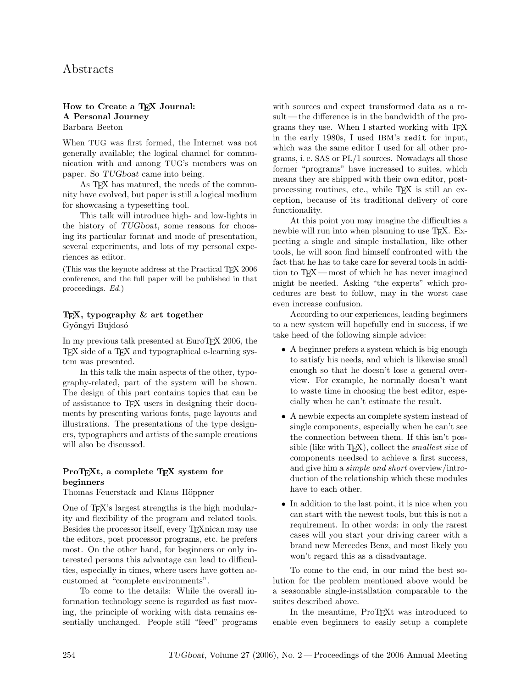# Abstracts

#### How to Create a TFX Journal: A Personal Journey Barbara Beeton

When TUG was first formed, the Internet was not generally available; the logical channel for communication with and among TUG's members was on paper. So TUGboat came into being.

As T<sub>F</sub>X has matured, the needs of the community have evolved, but paper is still a logical medium for showcasing a typesetting tool.

This talk will introduce high- and low-lights in the history of TUGboat, some reasons for choosing its particular format and mode of presentation, several experiments, and lots of my personal experiences as editor.

(This was the keynote address at the Practical TEX 2006 conference, and the full paper will be published in that proceedings. Ed.)

### TEX, typography & art together Gyöngyi Bujdosó

In my previous talk presented at EuroT<sub>EX</sub> 2006, the TEX side of a TEX and typographical e-learning system was presented.

In this talk the main aspects of the other, typography-related, part of the system will be shown. The design of this part contains topics that can be of assistance to TEX users in designing their documents by presenting various fonts, page layouts and illustrations. The presentations of the type designers, typographers and artists of the sample creations will also be discussed.

### ProT<sub>E</sub>X<sub>t</sub>, a complete T<sub>E</sub>X<sub>system</sub> for beginners

Thomas Feuerstack and Klaus Höppner

One of TEX's largest strengths is the high modularity and flexibility of the program and related tools. Besides the processor itself, every TEXnican may use the editors, post processor programs, etc. he prefers most. On the other hand, for beginners or only interested persons this advantage can lead to difficulties, especially in times, where users have gotten accustomed at "complete environments".

To come to the details: While the overall information technology scene is regarded as fast moving, the principle of working with data remains essentially unchanged. People still "feed" programs with sources and expect transformed data as a result— the difference is in the bandwidth of the programs they use. When I started working with TEX in the early 1980s, I used IBM's xedit for input, which was the same editor I used for all other programs, i. e. SAS or PL/1 sources. Nowadays all those former "programs" have increased to suites, which means they are shipped with their own editor, postprocessing routines, etc., while TEX is still an exception, because of its traditional delivery of core functionality.

At this point you may imagine the difficulties a newbie will run into when planning to use T<sub>EX</sub>. Expecting a single and simple installation, like other tools, he will soon find himself confronted with the fact that he has to take care for several tools in addition to TEX — most of which he has never imagined might be needed. Asking "the experts" which procedures are best to follow, may in the worst case even increase confusion.

According to our experiences, leading beginners to a new system will hopefully end in success, if we take heed of the following simple advice:

- A beginner prefers a system which is big enough to satisfy his needs, and which is likewise small enough so that he doesn't lose a general overview. For example, he normally doesn't want to waste time in choosing the best editor, especially when he can't estimate the result.
- A newbie expects an complete system instead of single components, especially when he can't see the connection between them. If this isn't possible (like with T<sub>E</sub>X), collect the *smallest size* of components needsed to achieve a first success, and give him a *simple and short* overview/introduction of the relationship which these modules have to each other.
- In addition to the last point, it is nice when you can start with the newest tools, but this is not a requirement. In other words: in only the rarest cases will you start your driving career with a brand new Mercedes Benz, and most likely you won't regard this as a disadvantage.

To come to the end, in our mind the best solution for the problem mentioned above would be a seasonable single-installation comparable to the suites described above.

In the meantime, ProT<sub>EX</sub>t was introduced to enable even beginners to easily setup a complete